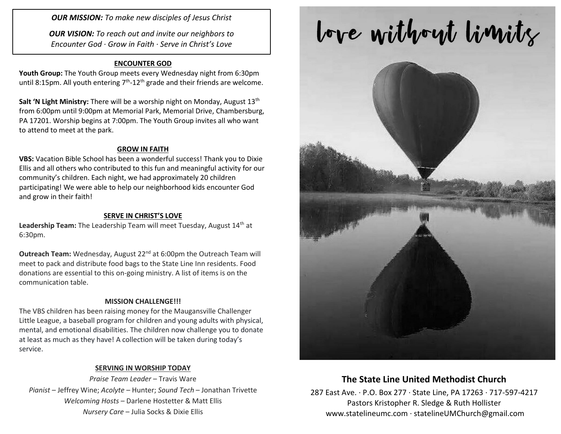*OUR MISSION: To make new disciples of Jesus Christ*

*OUR VISION: To reach out and invite our neighbors to Encounter God · Grow in Faith · Serve in Christ's Love*

### **ENCOUNTER GOD**

**Youth Group:** The Youth Group meets every Wednesday night from 6:30pm until 8:15pm. All youth entering  $7<sup>th</sup>$ -12<sup>th</sup> grade and their friends are welcome.

**Salt 'N Light Ministry:** There will be a worship night on Monday, August 13<sup>th</sup> from 6:00pm until 9:00pm at Memorial Park, Memorial Drive, Chambersburg, PA 17201. Worship begins at 7:00pm. The Youth Group invites all who want to attend to meet at the park.

#### **GROW IN FAITH**

**VBS:** Vacation Bible School has been a wonderful success! Thank you to Dixie Ellis and all others who contributed to this fun and meaningful activity for our community's children. Each night, we had approximately 20 children participating! We were able to help our neighborhood kids encounter God and grow in their faith!

#### **SERVE IN CHRIST'S LOVE**

Leadership Team: The Leadership Team will meet Tuesday, August 14<sup>th</sup> at 6:30pm.

**Outreach Team:** Wednesday, August 22<sup>nd</sup> at 6:00pm the Outreach Team will meet to pack and distribute food bags to the State Line Inn residents. Food donations are essential to this on-going ministry. A list of items is on the communication table.

#### **MISSION CHALLENGE!!!**

The VBS children has been raising money for the Maugansville Challenger Little League, a baseball program for children and young adults with physical, mental, and emotional disabilities. The children now challenge you to donate at least as much as they have! A collection will be taken during today's service.

#### **SERVING IN WORSHIP TODAY**

*Praise Team Leader* – Travis Ware *Pianist* – Jeffrey Wine; *Acolyte* – Hunter; *Sound Tech* – Jonathan Trivette *Welcoming Hosts* – Darlene Hostetter & Matt Ellis *Nursery Care* – Julia Socks & Dixie Ellis

# love without limits



## **The State Line United Methodist Church**

287 East Ave. · P.O. Box 277 · State Line, PA 17263 · 717-597-4217 Pastors Kristopher R. Sledge & Ruth Hollister [www.statelineumc.com](http://www.statelineumc.com/) · statelineUMChurch@gmail.com